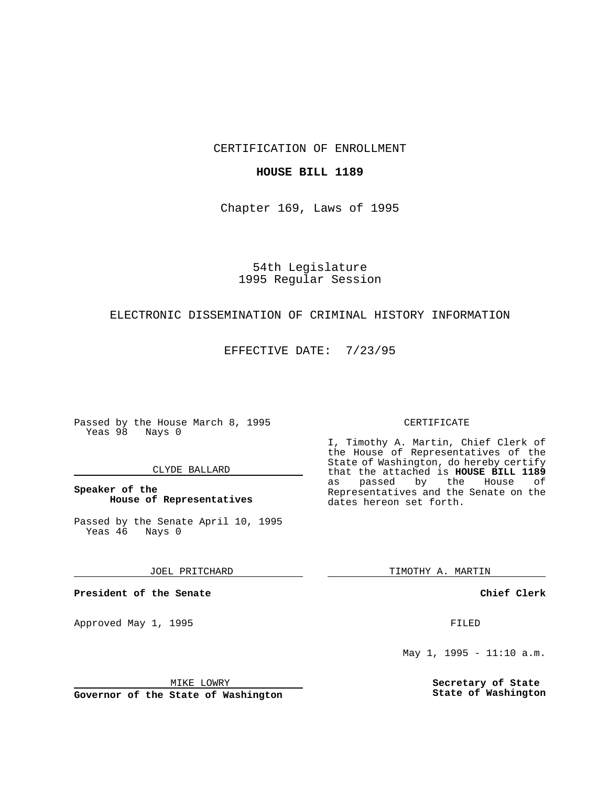CERTIFICATION OF ENROLLMENT

### **HOUSE BILL 1189**

Chapter 169, Laws of 1995

54th Legislature 1995 Regular Session

# ELECTRONIC DISSEMINATION OF CRIMINAL HISTORY INFORMATION

EFFECTIVE DATE: 7/23/95

Passed by the House March 8, 1995 Yeas 98 Nays 0

### CLYDE BALLARD

# **Speaker of the House of Representatives**

Passed by the Senate April 10, 1995<br>Yeas 46 Nays 0 Yeas 46

JOEL PRITCHARD

**President of the Senate**

Approved May 1, 1995 **FILED** 

MIKE LOWRY

**Governor of the State of Washington**

#### CERTIFICATE

I, Timothy A. Martin, Chief Clerk of the House of Representatives of the State of Washington, do hereby certify that the attached is **HOUSE BILL 1189** as passed by the House of Representatives and the Senate on the dates hereon set forth.

TIMOTHY A. MARTIN

**Chief Clerk**

May 1, 1995 - 11:10 a.m.

**Secretary of State State of Washington**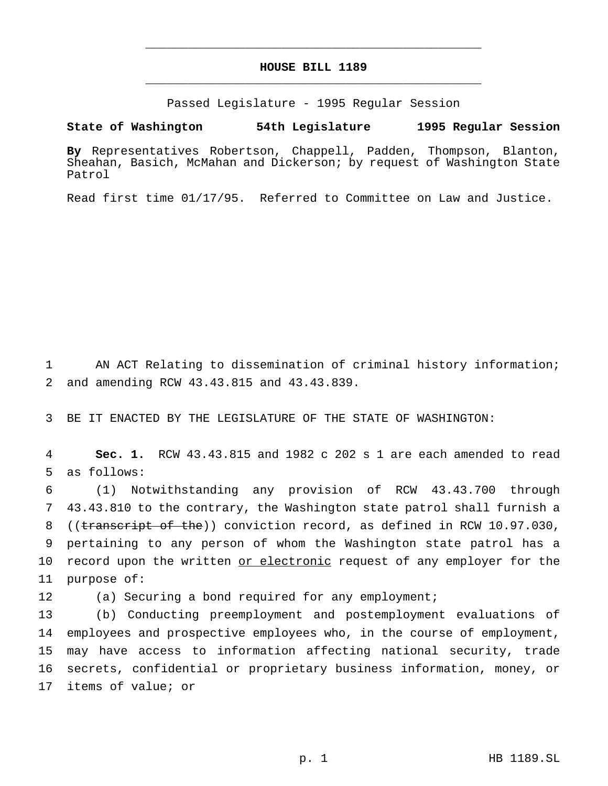# **HOUSE BILL 1189** \_\_\_\_\_\_\_\_\_\_\_\_\_\_\_\_\_\_\_\_\_\_\_\_\_\_\_\_\_\_\_\_\_\_\_\_\_\_\_\_\_\_\_\_\_\_\_

\_\_\_\_\_\_\_\_\_\_\_\_\_\_\_\_\_\_\_\_\_\_\_\_\_\_\_\_\_\_\_\_\_\_\_\_\_\_\_\_\_\_\_\_\_\_\_

Passed Legislature - 1995 Regular Session

**State of Washington 54th Legislature 1995 Regular Session**

**By** Representatives Robertson, Chappell, Padden, Thompson, Blanton, Sheahan, Basich, McMahan and Dickerson; by request of Washington State Patrol

Read first time 01/17/95. Referred to Committee on Law and Justice.

1 AN ACT Relating to dissemination of criminal history information; 2 and amending RCW 43.43.815 and 43.43.839.

3 BE IT ENACTED BY THE LEGISLATURE OF THE STATE OF WASHINGTON:

4 **Sec. 1.** RCW 43.43.815 and 1982 c 202 s 1 are each amended to read 5 as follows:

 (1) Notwithstanding any provision of RCW 43.43.700 through 43.43.810 to the contrary, the Washington state patrol shall furnish a 8 ((transcript of the)) conviction record, as defined in RCW 10.97.030, pertaining to any person of whom the Washington state patrol has a 10 record upon the written or electronic request of any employer for the purpose of:

12 (a) Securing a bond required for any employment;

 (b) Conducting preemployment and postemployment evaluations of employees and prospective employees who, in the course of employment, may have access to information affecting national security, trade secrets, confidential or proprietary business information, money, or items of value; or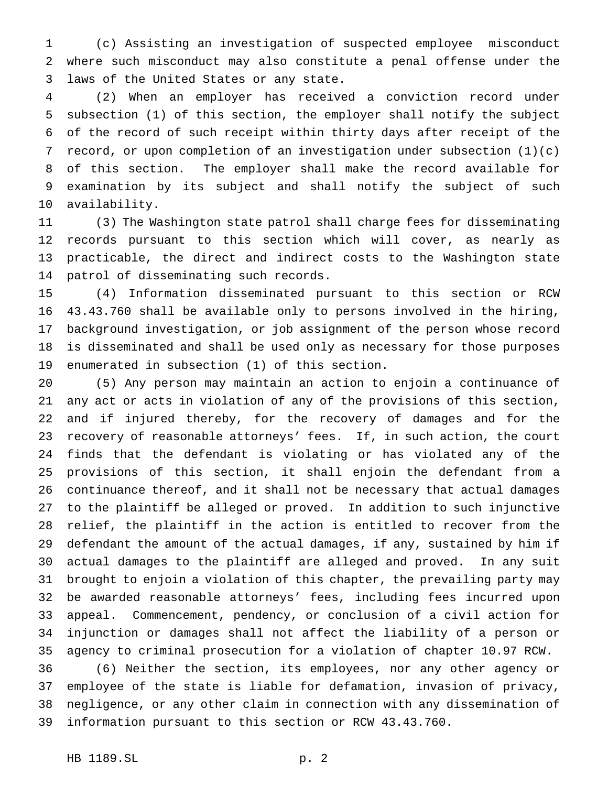(c) Assisting an investigation of suspected employee misconduct where such misconduct may also constitute a penal offense under the laws of the United States or any state.

 (2) When an employer has received a conviction record under subsection (1) of this section, the employer shall notify the subject of the record of such receipt within thirty days after receipt of the record, or upon completion of an investigation under subsection (1)(c) of this section. The employer shall make the record available for examination by its subject and shall notify the subject of such availability.

 (3) The Washington state patrol shall charge fees for disseminating records pursuant to this section which will cover, as nearly as practicable, the direct and indirect costs to the Washington state patrol of disseminating such records.

 (4) Information disseminated pursuant to this section or RCW 43.43.760 shall be available only to persons involved in the hiring, background investigation, or job assignment of the person whose record is disseminated and shall be used only as necessary for those purposes enumerated in subsection (1) of this section.

 (5) Any person may maintain an action to enjoin a continuance of any act or acts in violation of any of the provisions of this section, and if injured thereby, for the recovery of damages and for the recovery of reasonable attorneys' fees. If, in such action, the court finds that the defendant is violating or has violated any of the provisions of this section, it shall enjoin the defendant from a continuance thereof, and it shall not be necessary that actual damages to the plaintiff be alleged or proved. In addition to such injunctive relief, the plaintiff in the action is entitled to recover from the defendant the amount of the actual damages, if any, sustained by him if actual damages to the plaintiff are alleged and proved. In any suit brought to enjoin a violation of this chapter, the prevailing party may be awarded reasonable attorneys' fees, including fees incurred upon appeal. Commencement, pendency, or conclusion of a civil action for injunction or damages shall not affect the liability of a person or agency to criminal prosecution for a violation of chapter 10.97 RCW.

 (6) Neither the section, its employees, nor any other agency or employee of the state is liable for defamation, invasion of privacy, negligence, or any other claim in connection with any dissemination of information pursuant to this section or RCW 43.43.760.